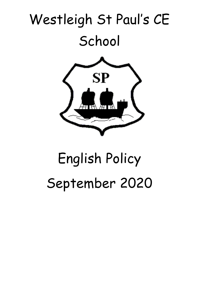

# English Policy September 2020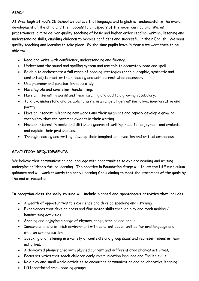## **AIMS:**

At Westleigh St Paul's CE School we believe that language and English is fundamental to the overall development of the child and their access to all aspects of the wider curriculum. We, as practitioners, aim to deliver quality teaching of basic and higher order reading, writing, listening and understanding skills, enabling children to become confident and successful in their English. We want quality teaching and learning to take place. By the time pupils leave in Year 6 we want them to be able to:

- Read and write with confidence, understanding and fluency.
- Understand the sound and spelling system and use this to accurately read and spell.
- Be able to orchestrate a full range of reading strategies (phonic, graphic, syntactic and contextual) to monitor their reading and self-correct when necessary.
- Use grammar and punctuation accurately.
- Have legible and consistent handwriting.
- Have an interest in words and their meaning and add to a growing vocabulary.
- To know, understand and be able to write in a range of genres: narrative, non-narrative and poetry.
- Have an interest in learning new words and their meanings and rapidly develop a growing vocabulary that can becomes evident in their writing.
- Have an interest in books and different genres of writing, read for enjoyment and evaluate and explain their preferences.
- Through reading and writing, develop their imagination, invention and critical awareness.

# **STATUTORY REQUIREMENTS**

We believe that communication and language with opportunities to explore reading and writing underpins children's future learning. The practice in Foundation Stage will follow the DfE curriculum guidance and will work towards the early Learning Goals aiming to meet the statement of the goals by the end of reception.

# **In reception class the daily routine will include planned and spontaneous activities that include:**

- A wealth of opportunities to experience and develop speaking and listening.
- Experiences that develop gross and fine motor skills through play and mark making / handwriting activities.
- Sharing and enjoying a range of rhymes, songs, stories and books.
- Immersion in a print-rich environment with constant opportunities for oral language and written communication.
- Speaking and listening in a variety of contexts and group sizes and represent ideas in their activities.
- A dedicated phonics area with planned current and differentiated phonics activities.
- Focus activities that teach children early communication language and English skills.
- Role play and small world activities to encourage communication and collaborative learning.
- Differentiated small reading groups.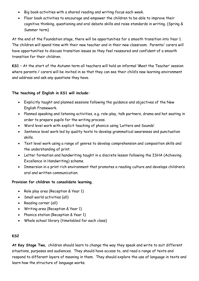- Big book activities with a shared reading and writing focus each week.
- Floor book activities to encourage and empower the children to be able to improve their cognitive thinking, questioning and oral debate skills and raise standards in writing. (Spring & Summer term)

At the end of the Foundation stage, there will be opportunities for a smooth transition into Year 1. The children will spend time with their new teacher and in their new classroom. Parents/ carers will have opportunities to discuss transition issues so they feel reassured and confident of a smooth transition for their children.

**KS1** – At the start of the Autumn term all teachers will hold an informal 'Meet the Teacher' session where parents / carers will be invited in so that they can see their child's new learning environment and address and ask any questions they have.

## **The teaching of English in KS1 will include:**

- Explicitly taught and planned sessions following the guidance and objectives of the New English Framework.
- Planned speaking and listening activities, e.g. role-play, talk partners, drama and hot seating in order to prepare pupils for the writing process.
- Word level work with explicit teaching of phonics using 'Letters and Sounds'.
- Sentence level work led by quality texts to develop grammatical awareness and punctuation skills.
- Text level work using a range of genres to develop comprehension and composition skills and the understanding of print.
- Letter formation and handwriting taught in a discrete lesson following the ISHA (Achieving Excellence in Handwriting) scheme.
- Immersion in a print rich environment that promotes a reading culture and develops children's oral and written communication.

## **Provision for children to consolidate learning.**

- Role play area (Reception & Year 1)
- Small world activities (all)
- Reading corner (all)
- Writing area (Reception & Year 1)
- Phonics station (Reception & Year 1)
- Whole school library (timetabled for each class)

# **KS2**

**At Key Stage Two,** children should learn to change the way they speak and write to suit different situations, purposes and audiences. They should have access to, and read a range of texts and respond to different layers of meaning in them. They should explore the use of language in texts and learn how the structure of language works.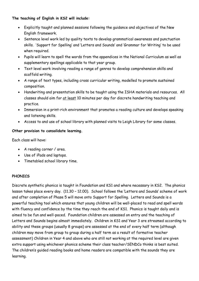## **The teaching of English in KS2 will include:**

- Explicitly taught and planned sessions following the guidance and objectives of the New English framework.
- Sentence level work led by quality texts to develop grammatical awareness and punctuation skills. 'Support for Spelling' and 'Letters and Sounds' and 'Grammar for Writing' to be used when required.
- Pupils will learn to spell the words from the appendices in the National Curriculum as well as supplementary spellings applicable to that year group.
- Text level work involving reading a range of genres to develop comprehension skills and scaffold writing.
- A range of text types, including cross curricular writing, modelled to promote sustained composition.
- Handwriting and presentation skills to be taught using the ISHA materials and resources. All classes should aim for at least 10 minutes per day for discrete handwriting teaching and practice.
- Immersion in a print-rich environment that promotes a reading culture and develops speaking and listening skills.
- Access to and use of school library with planned visits to Leigh Library for some classes.

## **Other provision to consolidate learning.**

Each class will have:

- A reading corner / area.
- Use of iPads and laptops.
- Timetabled school library time.

## **PHONICS**

Discrete synthetic phonics is taught in Foundation and KS1 and where necessary in KS2. The phonics lesson takes place every day. (11.30 – 12.00). School follows the 'Letters and Sounds' scheme of work and after completion of Phase 5 will move onto Support for Spelling. Letters and Sounds is a powerful teaching tool which ensures that young children will be well-placed to read and spell words with fluency and confidence by the time they reach the end of KS1. Phonics is taught daily and is aimed to be fun and well-paced. Foundation children are assessed on entry and the teaching of Letters and Sounds begins almost immediately. Children in KS1 and Year 3 are streamed according to ability and these groups (usually 8 groups) are assessed at the end of every half term (although children may move from group to group during a half term as a result of formative teacher assessment) Children in Year 4 and above who are still not working at the required level are given extra support using whichever phonics scheme their class teacher/SENDCo thinks is best suited. The children's guided reading books and home readers are compatible with the sounds they are learning.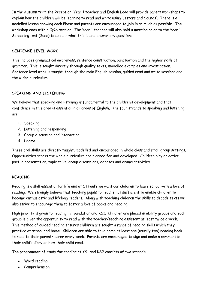In the Autumn term the Reception, Year 1 teacher and English Lead will provide parent workshops to explain how the children will be learning to read and write using 'Letters and Sounds'. There is a modelled lesson showing each Phase and parents are encouraged to join in as much as possible. The workshop ends with a Q&A session. The Year 1 teacher will also hold a meeting prior to the Year 1 Screening test (June) to explain what this is and answer any questions.

## **SENTENCE LEVEL WORK**

This includes grammatical awareness, sentence construction, punctuation and the higher skills of grammar. This is taught directly through quality texts, modelled examples and investigation. Sentence level work is taught; through the main English session, guided read and write sessions and the wider curriculum.

# **SPEAKING AND LISTENING**

We believe that speaking and listening is fundamental to the children's development and that confidence in this area is essential in all areas of English. The four strands to speaking and listening are:

- 1. Speaking
- 2. Listening and responding
- 3. Group discussion and interaction
- 4. Drama

These oral skills are directly taught, modelled and encouraged in whole class and small group settings. Opportunities across the whole curriculum are planned for and developed. Children play an active part in presentation, topic talks, group discussions, debates and drama activities.

## **READING**

Reading is a skill essential for life and at St Paul's we want our children to leave school with a love of reading. We strongly believe that teaching pupils to read is not sufficient to enable children to become enthusiastic and lifelong readers. Along with teaching children the skills to decode texts we also strive to encourage them to foster a love of books and reading.

High priority is given to reading in Foundation and KS1. Children are placed in ability groups and each group is given the opportunity to read with the teacher/teaching assistant at least twice a week. This method of guided reading ensures children are taught a range of reading skills which they practice at school and home. Children are able to take home at least one (usually two) reading book to read to their parent/ carer every week. Parents are encouraged to sign and make a comment in their child's diary on how their child read.

The programmes of study for reading at KS1 and KS2 consists of two strands:

- Word reading
- Comprehension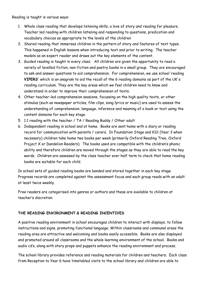Reading is taught is various ways:

- 1. Whole class reading that develops listening skills, a love of story and reading for pleasure. Teacher led reading with children listening and responding to questions, predication and vocabulary choices as appropriate to the levels of the children
- 2. Shared reading that immerses children in the pattern of story and features of text types. This happened in English lessons when introducing text and prior to writing. The teacher models as an expert reader and draws out the key elements of the content.
- 3. Guided reading is taught in every class. All children are given the opportunity to read a variety of levelled fiction, non-fiction and poetry books in a small group. They are encouraged to ask and answer questions to aid comprehension. For comprehension, we use school 'reading **VIPERS'** which is an anagram to aid the recall of the 6 reading domains as part of the UK's reading curriculum. They are the key areas which we feel children need to know and understand in order to improve their comprehension of texts.
- 4. Other teacher-led comprehension sessions, focussing on the high quality texts, or other stimulus (such as newspaper articles, film clips, song lyrics or music) are used to assess the understanding of comprehension, language, inference and meaning of a book or text using the content domains for each key stage.
- 5. 1:1 reading with the teacher / TA / Reading Buddy / Other adult
- 6. Independent reading in school and at home. Books are sent home with a diary or reading record for communication with parents / carers. In Foundation Stage and KS1 (Year 3 when necessary) children take home two books per week (primarily Oxford Reading Tree, Oxford Project X or Dandelion Readers). The books used are compatible with the children's phonic ability and therefore children are moved through the stages as they are able to read the key words. Children are assessed by the class teacher ever half term to check that home reading books are suitable for each child.

In school sets of guided reading books are banded and stored together in each key stage. Progress records are completed against the assessment focus and each group reads with an adult at least twice weekly.

Free readers are categorised into genres or authors and these are available to children at teacher's discretion.

# **THE READING ENVIRONMENT & READING INCENTIVES**

A positive reading environment in school encourages children to interact with displays, to follow instructions and signs, promoting functional language. Within classrooms and communal areas the reading area are attractive and welcoming and books easily accessible. Books are also displayed and promoted around all classrooms and the whole learning environment of the school. Books and audio cd's, along with story props and puppets enhance the reading environment and process.

The school library provides reference and reading materials for children and teachers. Each class from Reception to Year 6 have timetabled visits to the school library and children are able to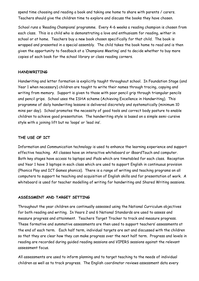spend time choosing and reading a book and taking one home to share with parents / carers. Teachers should give the children time to explore and discuss the books they have chosen.

School runs a 'Reading Champions' programme. Every 4-6 weeks a reading champion is chosen from each class. This is a child who is demonstrating a love and enthusiasm for reading, wither in school or at home. Teachers buy a new book chosen specifically for that child. The book is wrapped and presented in a special assembly. The child takes the book home to read and is then given the opportunity to feedback at a 'Champions Meeting' and to decide whether to buy more copies of each book for the school library or class reading corners.

#### **HANDWRITING**

Handwriting and letter formation is explicitly taught throughout school. In Foundation Stage (and Year 1 when necessary) children are taught to write their names through tracing, copying and writing from memory. Support is given to those with poor pencil grip through triangular pencils and pencil grips. School uses the ISHA scheme (Achieving Excellence in Handwriting). This programme of daily handwriting lessons is delivered discretely and systematically (minimum 10 mins per day). School promotes the necessity of good tools and correct body posture to enable children to achieve good presentation. The handwriting style is based on a simple semi-cursive style with a joining lift but no 'loops' or 'lead ins'.

#### **THE USE OF ICT**

Information and Communication technology is used to enhance the learning experience and support effective teaching. All classes have an interactive whiteboard or iBoardTouch and computer. Both key stages have access to laptops and iPads which are timetabled for each class. Reception and Year 1 have 3 laptops in each class which are used to support English in continuous provision (Phonics Play and ICT Games phonics). There is a range of writing and teaching programs on all computers to support he teaching and acquisition of English skills and for presentation of work. A whiteboard is used for teacher modelling of writing for handwriting and Shared Writing sessions.

#### **ASSESSMENT AND TARGET SETTING**

Throughout the year children are continually assessed using the National Curriculum objectives for both reading and writing. In Years 2 and 6 National Standards are used to assess and measure progress and attainment. Teachers Target Tracker to track and measure progress. These formative and summative assessments are then used to support teachers' assessments at the end of each term. Each half term, individual targets are set and discussed with the children so that they are clear how they can make progress over the next half term. Progress and levels in reading are recorded during guided reading sessions and VIPERS sessions against the relevant assessment focus.

All assessments are used to inform planning and to target teaching to the needs of individual children as well as to track progress. The English coordinator reviews assessment data every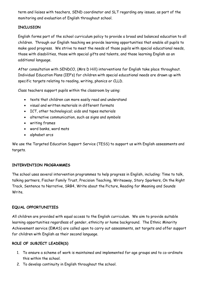term and liaises with teachers, SEND coordinator and SLT regarding any issues, as part of the monitoring and evaluation of English throughout school.

# **INCLUSION**

English forms part of the school curriculum policy to provide a broad and balanced education to all children. Through our English teaching we provide learning opportunities that enable all pupils to make good progress. We strive to meet the needs of those pupils with special educational needs, those with disabilities, those with special gifts and talents, and those learning English as an additional language.

After consultation with SENDCO, (Mrs D Hill) interventions for English take place throughout. Individual Education Plans (IEP's) for children with special educational needs are drawn up with specific targets relating to reading, writing, phonics or CLLD.

Class teachers support pupils within the classroom by using:

- texts that children can more easily read and understand
- visual and written materials in different formats
- ICT, other technological; aids and tapes materials
- alternative communication, such as signs and symbols
- writing frames
- word banks, word mats
- alphabet arcs

We use the Targeted Education Support Service (TESS) to support us with English assessments and targets.

## **INTERVENTION PROGRAMMES**

The school uses several intervention programmes to help progress in English, including: Time to talk, talking partners, Fischer Family Trust, Precision Teaching, Writeaway, Story Sparkers, On the Right Track, Sentence to Narrative, SRB4, Write about the Picture, Reading for Meaning and Sounds Write.

## **EQUAL OPPORTUNITIES**

All children are provided with equal access to the English curriculum. We aim to provide suitable learning opportunities regardless of gender, ethnicity or home background. The Ethnic Minority Achievement service (EMAS) are called upon to carry out assessments, set targets and offer support for children with English as their second language.

## **ROLE OF SUBJECT LEADER(S)**

- 1. To ensure a scheme of work is maintained and implemented for age groups and to co-ordinate this within the school.
- 2. To develop continuity in English throughout the school.